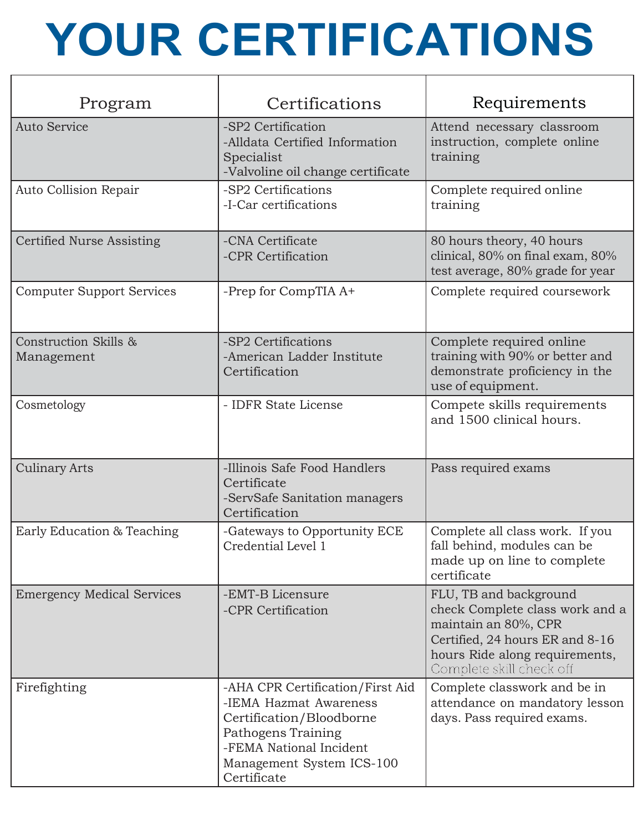## **YOUR CERTIFICATIONS**

| Program                             | Certifications                                                                                                                                                                      | Requirements                                                                                                                                                                       |
|-------------------------------------|-------------------------------------------------------------------------------------------------------------------------------------------------------------------------------------|------------------------------------------------------------------------------------------------------------------------------------------------------------------------------------|
| <b>Auto Service</b>                 | -SP2 Certification<br>-Alldata Certified Information<br>Specialist<br>-Valvoline oil change certificate                                                                             | Attend necessary classroom<br>instruction, complete online<br>training                                                                                                             |
| Auto Collision Repair               | -SP2 Certifications<br>-I-Car certifications                                                                                                                                        | Complete required online<br>training                                                                                                                                               |
| Certified Nurse Assisting           | -CNA Certificate<br>-CPR Certification                                                                                                                                              | 80 hours theory, 40 hours<br>clinical, 80% on final exam, 80%<br>test average, 80% grade for year                                                                                  |
| <b>Computer Support Services</b>    | -Prep for CompTIA A+                                                                                                                                                                | Complete required coursework                                                                                                                                                       |
| Construction Skills &<br>Management | -SP2 Certifications<br>-American Ladder Institute<br>Certification                                                                                                                  | Complete required online<br>training with 90% or better and<br>demonstrate proficiency in the<br>use of equipment.                                                                 |
| Cosmetology                         | - IDFR State License                                                                                                                                                                | Compete skills requirements<br>and 1500 clinical hours.                                                                                                                            |
| <b>Culinary Arts</b>                | -Illinois Safe Food Handlers<br>Certificate<br>-ServSafe Sanitation managers<br>Certification                                                                                       | Pass required exams                                                                                                                                                                |
| Early Education & Teaching          | -Gateways to Opportunity ECE<br>Credential Level 1                                                                                                                                  | Complete all class work. If you<br>fall behind, modules can be<br>made up on line to complete<br>certificate                                                                       |
| <b>Emergency Medical Services</b>   | -EMT-B Licensure<br>-CPR Certification                                                                                                                                              | FLU, TB and background<br>check Complete class work and a<br>maintain an 80%, CPR<br>Certified, 24 hours ER and 8-16<br>hours Ride along requirements,<br>Complete skill check off |
| Firefighting                        | -AHA CPR Certification/First Aid<br>-IEMA Hazmat Awareness<br>Certification/Bloodborne<br>Pathogens Training<br>-FEMA National Incident<br>Management System ICS-100<br>Certificate | Complete classwork and be in<br>attendance on mandatory lesson<br>days. Pass required exams.                                                                                       |